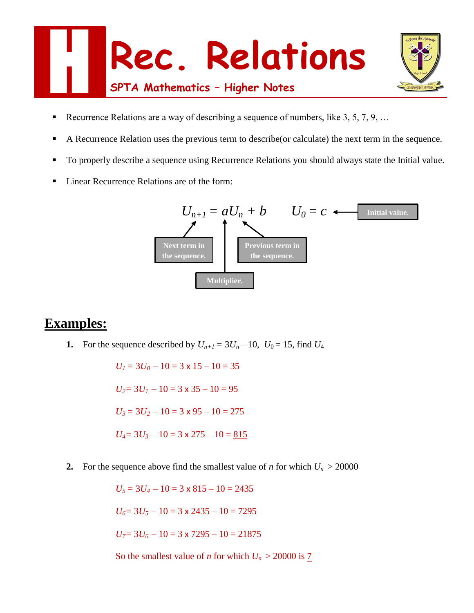



- Recurrence Relations are a way of describing a sequence of numbers, like 3, 5, 7, 9, …
- A Recurrence Relation uses the previous term to describe (or calculate) the next term in the sequence.
- To properly describe a sequence using Recurrence Relations you should always state the Initial value.
- Linear Recurrence Relations are of the form:



## **Examples:**

**1.** For the sequence described by  $U_{n+1} = 3U_n - 10$ ,  $U_0 = 15$ , find  $U_4$ 

 $U_1 = 3U_0 - 10 = 3 \times 15 - 10 = 35$  $U_2$ = 3 $U_1$  – 10 = 3 x 35 – 10 = 95  $U_3 = 3U_2 - 10 = 3 \times 95 - 10 = 275$  $U_4$  = 3 $U_3$  – 10 = 3 x 275 – 10 = 815

**2.** For the sequence above find the smallest value of *n* for which  $U_n > 20000$ 

 $U_5 = 3U_4 - 10 = 3 \times 815 - 10 = 2435$  $U_6$ = 3 $U_5$  – 10 = 3 x 2435 – 10 = 7295  $U_7$ = 3 $U_6$  – 10 = 3 x 7295 – 10 = 21875

So the smallest value of *n* for which  $U_n > 20000$  is  $\underline{7}$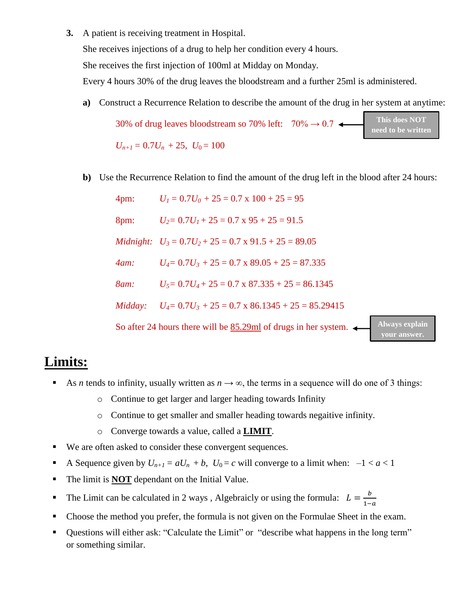**3.** A patient is receiving treatment in Hospital.

She receives injections of a drug to help her condition every 4 hours.

She receives the first injection of 100ml at Midday on Monday.

Every 4 hours 30% of the drug leaves the bloodstream and a further 25ml is administered.

**a)** Construct a Recurrence Relation to describe the amount of the drug in her system at anytime:

30% of drug leaves bloodstream so 70% left:  $70\% \rightarrow 0.7$  $U_{n+1} = 0.7U_n + 25$ ,  $U_0 = 100$ **This does NOT need to be written**

**b)** Use the Recurrence Relation to find the amount of the drug left in the blood after 24 hours:

| 4pm:    | $U_1 = 0.7U_0 + 25 = 0.7$ x $100 + 25 = 95$                        |                                       |
|---------|--------------------------------------------------------------------|---------------------------------------|
| 8pm:    | $U_2 = 0.7U_1 + 25 = 0.7 \times 95 + 25 = 91.5$                    |                                       |
|         | Midnight: $U_3 = 0.7U_2 + 25 = 0.7 \times 91.5 + 25 = 89.05$       |                                       |
| 4am:    | $U_4 = 0.7U_3 + 25 = 0.7$ x 89.05 + 25 = 87.335                    |                                       |
| 8am:    | $U_5 = 0.7U_4 + 25 = 0.7$ x $87.335 + 25 = 86.1345$                |                                       |
| Midday: | $U_4 = 0.7U_3 + 25 = 0.7 \times 86.1345 + 25 = 85.29415$           |                                       |
|         | So after 24 hours there will be $85.29$ ml of drugs in her system. | <b>Always explain</b><br>vour answer. |

## **Limits:**

- As *n* tends to infinity, usually written as  $n \to \infty$ , the terms in a sequence will do one of 3 things:
	- o Continue to get larger and larger heading towards Infinity
	- o Continue to get smaller and smaller heading towards negaitive infinity.
	- o Converge towards a value, called a **LIMIT**.
- We are often asked to consider these convergent sequences.
- A Sequence given by  $U_{n+1} = aU_n + b$ ,  $U_0 = c$  will converge to a limit when:  $-1 < a < 1$
- The limit is **NOT** dependant on the Initial Value.
- The Limit can be calculated in 2 ways, Algebraicly or using the formula:  $L = \frac{b}{\epsilon}$  $1-a$
- Choose the method you prefer, the formula is not given on the Formulae Sheet in the exam.
- Questions will either ask: "Calculate the Limit" or "describe what happens in the long term" or something similar.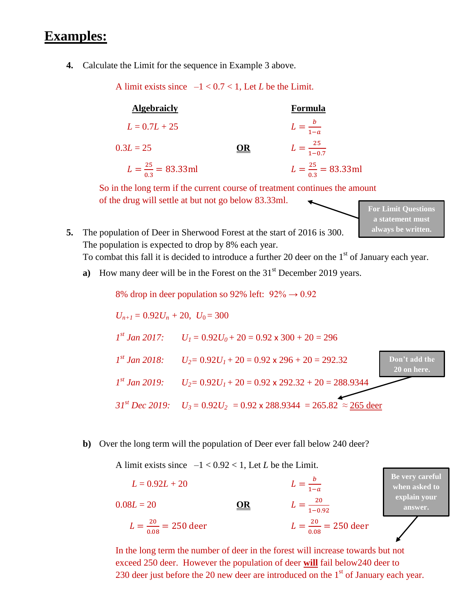## **Examples:**

**4.** Calculate the Limit for the sequence in Example 3 above.

A limit exists since  $-1 < 0.7 < 1$ , Let *L* be the Limit.

| <b>Algebraicly</b>              |    | Formula                         |
|---------------------------------|----|---------------------------------|
| $L = 0.7L + 25$                 |    | $L=\frac{b}{1-a}$               |
| $0.3L = 25$                     | OR | $L = \frac{25}{1-0.7}$          |
| $L = \frac{25}{0.3} = 83.33$ ml |    | $L = \frac{25}{0.3} = 83.33$ ml |

So in the long term if the current course of treatment continues the amount of the drug will settle at but not go below 83.33ml. **For Limit Questions** 

- **5.** The population of Deer in Sherwood Forest at the start of 2016 is 300. The population is expected to drop by 8% each year. To combat this fall it is decided to introduce a further 20 deer on the 1<sup>st</sup> of January each year. **always be written.**
	- **a**) How many deer will be in the Forest on the 31<sup>st</sup> December 2019 years.

8% drop in deer population so 92% left:  $92\% \rightarrow 0.92$ 

$$
U_{n+1} = 0.92U_n + 20, U_0 = 300
$$
\n
$$
I^{st} Jan 2017: U_1 = 0.92U_0 + 20 = 0.92 \times 300 + 20 = 296
$$
\n
$$
I^{st} Jan 2018: U_2 = 0.92U_1 + 20 = 0.92 \times 296 + 20 = 292.32
$$
\n
$$
I^{st} Jan 2019: U_2 = 0.92U_1 + 20 = 0.92 \times 292.32 + 20 = 288.9344
$$
\n
$$
3I^{st} Dec 2019: U_3 = 0.92U_2 = 0.92 \times 288.9344 = 265.82 \approx \underbrace{265 \text{ deer}}_{265}
$$

**a statement must** 

## **b)** Over the long term will the population of Deer ever fall below 240 deer?

A limit exists since  $-1 < 0.92 < 1$ , Let *L* be the Limit.

 $L = 0.92L + 20$  $\boldsymbol{b}$  $1-a$  $0.08L = 20$  **OR** 20 1−0.92  $L = \frac{20}{20}$  $\frac{20}{0.08}$  = 250 deer  $L =$ 20  $\frac{20}{0.08}$  = 250 deer **Be very careful when asked to explain your answer.**

In the long term the number of deer in the forest will increase towards but not exceed 250 deer. However the population of deer **will** fail below240 deer to 230 deer just before the 20 new deer are introduced on the  $1<sup>st</sup>$  of January each year.